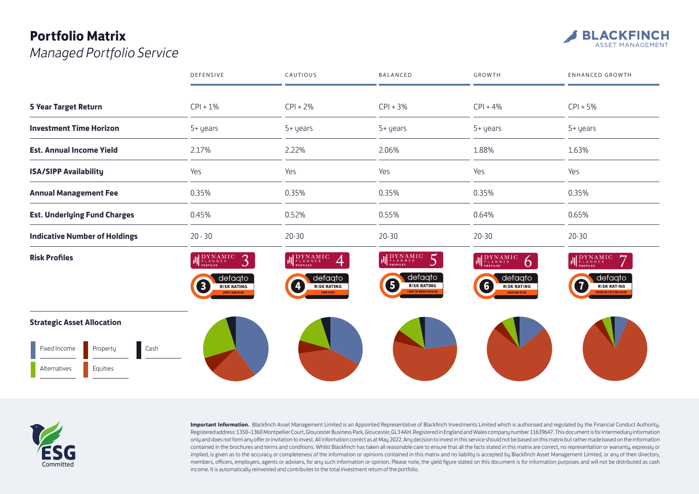## **Portfolio Matrix**  *Managed Portfolio Service*



|                                      | DEFENSIVE                                                                                                                                           | CAUTIOUS                                                                                                                                  | BALANCED                                                                                                                                                                 | GROWTH                                                                                                                                                                                         | <b>ENHANCED GROWTH</b>                                                                                                                                                                                                                                                                                                                     |
|--------------------------------------|-----------------------------------------------------------------------------------------------------------------------------------------------------|-------------------------------------------------------------------------------------------------------------------------------------------|--------------------------------------------------------------------------------------------------------------------------------------------------------------------------|------------------------------------------------------------------------------------------------------------------------------------------------------------------------------------------------|--------------------------------------------------------------------------------------------------------------------------------------------------------------------------------------------------------------------------------------------------------------------------------------------------------------------------------------------|
| <b>5 Year Target Return</b>          | $CPI + 1%$                                                                                                                                          | $CPI + 2%$                                                                                                                                | $CPI + 3%$                                                                                                                                                               | $CPI + 4%$                                                                                                                                                                                     | $CPI + 5%$                                                                                                                                                                                                                                                                                                                                 |
| <b>Investment Time Horizon</b>       | 5+ years                                                                                                                                            | 5+ years                                                                                                                                  | 5+ years                                                                                                                                                                 | 5+ years                                                                                                                                                                                       | 5+ years                                                                                                                                                                                                                                                                                                                                   |
| <b>Est. Annual Income Yield</b>      | 2.17%                                                                                                                                               | 2.22%                                                                                                                                     | 2.06%                                                                                                                                                                    | 1.88%                                                                                                                                                                                          | 1.63%                                                                                                                                                                                                                                                                                                                                      |
| <b>ISA/SIPP Availability</b>         | Yes                                                                                                                                                 | Yes                                                                                                                                       | Yes                                                                                                                                                                      | Yes                                                                                                                                                                                            | Yes                                                                                                                                                                                                                                                                                                                                        |
| <b>Annual Management Fee</b>         | 0.35%                                                                                                                                               | 0.35%                                                                                                                                     | 0.35%                                                                                                                                                                    | 0.35%                                                                                                                                                                                          | 0.35%                                                                                                                                                                                                                                                                                                                                      |
| <b>Est. Underlying Fund Charges</b>  | 0.45%                                                                                                                                               | 0.52%                                                                                                                                     | 0.55%                                                                                                                                                                    | 0.64%                                                                                                                                                                                          | 0.65%                                                                                                                                                                                                                                                                                                                                      |
| <b>Indicative Number of Holdings</b> | $20 - 30$                                                                                                                                           | $20 - 30$                                                                                                                                 | $20 - 30$                                                                                                                                                                | $20 - 30$                                                                                                                                                                                      | $20 - 30$                                                                                                                                                                                                                                                                                                                                  |
| <b>Risk Profiles</b>                 | $\begin{array}{lllll} {\displaystyle {\rm DYNAM\,IC}}\\{\displaystyle {\rm P\,L\,A\,N\,N\,E\,R}}\\ {\displaystyle {\rm PROFILED}} \end{array}$<br>3 | $\label{eq:proba} \prod_{\mathsf{PLANNSE}} \begin{matrix} \mathrm{DYNAMIC} \\ \mathrm{p_{\text{LANNE}}}\\ \mathrm{propileb} \end{matrix}$ | $\begin{array}{ll} \displaystyle \mathop{\rm DYNAM}\limits_{\mathop{\rm PLA}\limits} \displaystyle \mathop{\rm NNNER}\limits_{\mathop{\rm PROFILED}\limits} \end{array}$ | $\begin{array}{ll} \displaystyle \left\  \begin{array}{ll} \displaystyle {\rm DYNAMIC} \\ \displaystyle \frac{\displaystyle {\rm PLANNRE}}{\displaystyle \end{array} \right. \end{array}$<br>Ò | $\label{eq:optimal} \left \left \left \right \right \underset{\text{pro= for the }D}{\underset{\text{pro}=L\textrm{ and }D}{\underset{\text{pro}=L\textrm{}}{\underset{\text{pro}=L}{\underset{\text{pro}=L}}{\underset{\text{pro}=L}{\underset{\text{pro}=L}}}}}}\prod\mathcal{N}\mathcal{N}\mathcal{A}\mathcal{M}\mathcal{I}\mathcal{C}$ |
|                                      | defaqto<br>8<br><b>RISK RATING</b><br><b>VERY LOW RISK</b>                                                                                          | defaqto<br>4<br><b>RISK RATING</b><br><b>LOW RISK</b>                                                                                     | defaqto<br>6<br><b>RISK RATING</b><br><b>LOW TO MEDIUM RISK</b>                                                                                                          | defaqto<br>G<br><b>RISK RATING</b><br><b>MEDIUM RISK</b>                                                                                                                                       | defaqto<br>$\overline{7}$<br><b>RISK RATING</b><br><b>MEDIUM TO HIGH RISK</b>                                                                                                                                                                                                                                                              |
| <b>Strategic Asset Allocation</b>    |                                                                                                                                                     |                                                                                                                                           |                                                                                                                                                                          |                                                                                                                                                                                                |                                                                                                                                                                                                                                                                                                                                            |
| Cash<br>Fixed Income<br>Property     |                                                                                                                                                     |                                                                                                                                           |                                                                                                                                                                          |                                                                                                                                                                                                |                                                                                                                                                                                                                                                                                                                                            |
| Equities<br>Alternatives             |                                                                                                                                                     |                                                                                                                                           |                                                                                                                                                                          |                                                                                                                                                                                                |                                                                                                                                                                                                                                                                                                                                            |



**Important Information.** Blackfinch Asset Management Limited is an Appointed Representative of Blackfinch Investments Limited which is authorised and regulated by the Financial Conduct Authority. Registered address: 1350–1360 Montpellier Court, Gloucester Business Park, Gloucester, GL3 4AH. Registered in England and Wales company number 11639647. This document is for intermediary information only and does not form any offer or invitation to invest. All information correct as at May 2022. Any decision to invest in this service should not be based on this matrix but rather made based on the information contained in the brochures and terms and conditions. Whilst Blackfinch has taken all reasonable care to ensure that all the facts stated in this matrix are correct, no representation or warranty, expressly or implied, is given as to the accuracy or completeness of the information or opinions contained in this matrix and no liability is accepted by Blackfinch Asset Management Limited, or any of their directors, members, officers, employers, agents or advisers, for any such information or opinion. Please note, the yield figure stated on this document is for information purposes and will not be distributed as cash income. It is automatically reinvested and contributes to the total investment return of the portfolio.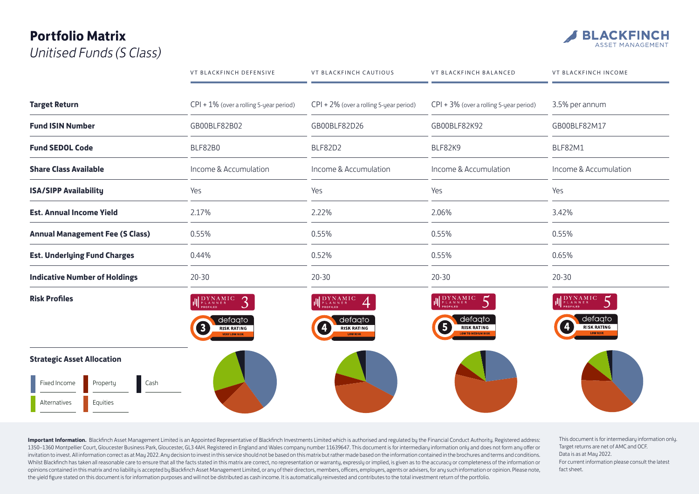## **Portfolio Matrix**  *Unitised Funds (S Class)*



|                                        | VT BLACKFINCH DEFENSIVE                                    | VT BLACKFINCH CAUTIOUS                                                                                                              | VT BLACKFINCH BALANCED                                         | <b>VT BLACKFINCH INCOME</b>                                                                                |
|----------------------------------------|------------------------------------------------------------|-------------------------------------------------------------------------------------------------------------------------------------|----------------------------------------------------------------|------------------------------------------------------------------------------------------------------------|
| <b>Target Return</b>                   | $CPI + 1\%$ (over a rolling 5-year period)                 | $CPI + 2\%$ (over a rolling 5-year period)                                                                                          | $CPI + 3%$ (over a rolling 5-year period)                      | 3.5% per annum                                                                                             |
| <b>Fund ISIN Number</b>                | GB00BLF82B02                                               |                                                                                                                                     | GB00BLF82K92                                                   | GB00BLF82M17                                                                                               |
| <b>Fund SEDOL Code</b>                 | BLF82B0                                                    | BLF82D2                                                                                                                             | BLF82K9<br>Income & Accumulation<br>Yes<br>2.06%               | BLF82M1<br>Income & Accumulation<br>Yes<br>3.42%                                                           |
| <b>Share Class Available</b>           | Income & Accumulation                                      | Income & Accumulation                                                                                                               |                                                                |                                                                                                            |
| <b>ISA/SIPP Availability</b>           | Yes                                                        | Yes                                                                                                                                 |                                                                |                                                                                                            |
| <b>Est. Annual Income Yield</b>        | 2.17%                                                      | 2.22%                                                                                                                               |                                                                |                                                                                                            |
| <b>Annual Management Fee (S Class)</b> | 0.55%                                                      | 0.55%                                                                                                                               | 0.55%                                                          | 0.55%                                                                                                      |
| <b>Est. Underlying Fund Charges</b>    | 0.44%                                                      | 0.52%                                                                                                                               | 0.55%                                                          | 0.65%                                                                                                      |
| <b>Indicative Number of Holdings</b>   | $20 - 30$                                                  | $20 - 30$                                                                                                                           | $20 - 30$                                                      | $20 - 30$                                                                                                  |
| <b>Risk Profiles</b>                   | IL PLANNER<br>3                                            | $\begin{array}{c} \parallel\parallel \begin{array}{c} {\rm DYNAMIC}\\ {\rm p_{\rm LANNER}}\\ {\rm proflueb}\end{array} \end{array}$ | <b>II</b> DYNAMIC                                              | 5<br>$\begin{array}{lllllll} {\displaystyle {\rm DYNAMIC} \atop {}_{\rm P\ L\ A\ N\ N\ E\ R}} \end{array}$ |
|                                        | defagto<br>8<br><b>RISK RATING</b><br><b>VEDY LOW DISK</b> | defaqto<br>Ø<br><b>RISK RATING</b><br><b>LOW RISK</b>                                                                               | defaqto<br>6<br><b>RISK RATING</b><br><b>OW TO MEDIUM RISK</b> | defagto<br>$\vert \bm{4} \vert$<br><b>RISK RATING</b><br><b>LOW RISK</b>                                   |
| <b>Strategic Asset Allocation</b>      |                                                            |                                                                                                                                     |                                                                |                                                                                                            |
| Fixed Income<br>Cash<br>Property       |                                                            |                                                                                                                                     |                                                                |                                                                                                            |
| Equities<br>Alternatives               |                                                            |                                                                                                                                     |                                                                |                                                                                                            |

Important Information. Blackfinch Asset Management Limited is an Appointed Representative of Blackfinch Investments Limited which is authorised and regulated by the Financial Conduct Authority. Registered address: 1350–1360 Montpellier Court, Gloucester Business Park, Gloucester, GL3 4AH. Registered in England and Wales company number 11639647. This document is for intermediary information only and does not form any offer or invitation to invest. All information correct as at May 2022. Any decision to invest in this service should not be based on this matrix but rather made based on the information contained in the brochures and terms and cond Whilst Blackfinch has taken all reasonable care to ensure that all the facts stated in this matrix are correct, no representation or warranty, expressly or implied, is given as to the accuracy or completeness of the inform opinions contained in this matrix and no liability is accepted by Blackfinch Asset Management Limited, or any of their directors, members, officers, employers, agents or advisers, for any such information or opinion. Pleas the yield figure stated on this document is for information purposes and will not be distributed as cash income. It is automatically reinvested and contributes to the total investment return of the portfolio.

This document is for intermediary information only. Target returns are net of AMC and OCF. Data is as at May 2022. For current information please consult the latest fact sheet.